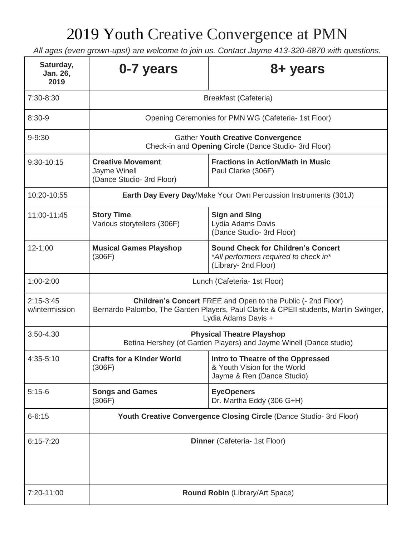## 2019 Youth Creative Convergence at PMN

*All ages (even grown-ups!) are welcome to join us. Contact Jayme 413-320-6870 with questions.* 

| Saturday,<br>Jan. 26,<br>2019 | 0-7 years                                                                                                                                                                         | 8+ years                                                                                                   |
|-------------------------------|-----------------------------------------------------------------------------------------------------------------------------------------------------------------------------------|------------------------------------------------------------------------------------------------------------|
| 7:30-8:30                     | <b>Breakfast (Cafeteria)</b>                                                                                                                                                      |                                                                                                            |
| $8:30-9$                      | Opening Ceremonies for PMN WG (Cafeteria- 1st Floor)                                                                                                                              |                                                                                                            |
| $9 - 9:30$                    | <b>Gather Youth Creative Convergence</b><br>Check-in and Opening Circle (Dance Studio- 3rd Floor)                                                                                 |                                                                                                            |
| 9:30-10:15                    | <b>Creative Movement</b><br>Jayme Winell<br>(Dance Studio- 3rd Floor)                                                                                                             | <b>Fractions in Action/Math in Music</b><br>Paul Clarke (306F)                                             |
| 10:20-10:55                   | Earth Day Every Day/Make Your Own Percussion Instruments (301J)                                                                                                                   |                                                                                                            |
| 11:00-11:45                   | <b>Story Time</b><br>Various storytellers (306F)                                                                                                                                  | <b>Sign and Sing</b><br>Lydia Adams Davis<br>(Dance Studio- 3rd Floor)                                     |
| 12-1:00                       | <b>Musical Games Playshop</b><br>(306F)                                                                                                                                           | <b>Sound Check for Children's Concert</b><br>*All performers required to check in*<br>(Library- 2nd Floor) |
| 1:00-2:00                     | Lunch (Cafeteria- 1st Floor)                                                                                                                                                      |                                                                                                            |
| $2:15-3:45$<br>w/intermission | <b>Children's Concert FREE and Open to the Public (- 2nd Floor)</b><br>Bernardo Palombo, The Garden Players, Paul Clarke & CPEII students, Martin Swinger,<br>Lydia Adams Davis + |                                                                                                            |
| 3:50-4:30                     | <b>Physical Theatre Playshop</b><br>Betina Hershey (of Garden Players) and Jayme Winell (Dance studio)                                                                            |                                                                                                            |
| 4:35-5:10                     | <b>Crafts for a Kinder World</b><br>(306F)                                                                                                                                        | Intro to Theatre of the Oppressed<br>& Youth Vision for the World<br>Jayme & Ren (Dance Studio)            |
| $5:15-6$                      | <b>Songs and Games</b><br>(306F)                                                                                                                                                  | <b>EyeOpeners</b><br>Dr. Martha Eddy (306 G+H)                                                             |
| $6 - 6:15$                    | Youth Creative Convergence Closing Circle (Dance Studio- 3rd Floor)                                                                                                               |                                                                                                            |
| $6:15 - 7:20$                 | Dinner (Cafeteria- 1st Floor)                                                                                                                                                     |                                                                                                            |
| 7:20-11:00                    | Round Robin (Library/Art Space)                                                                                                                                                   |                                                                                                            |